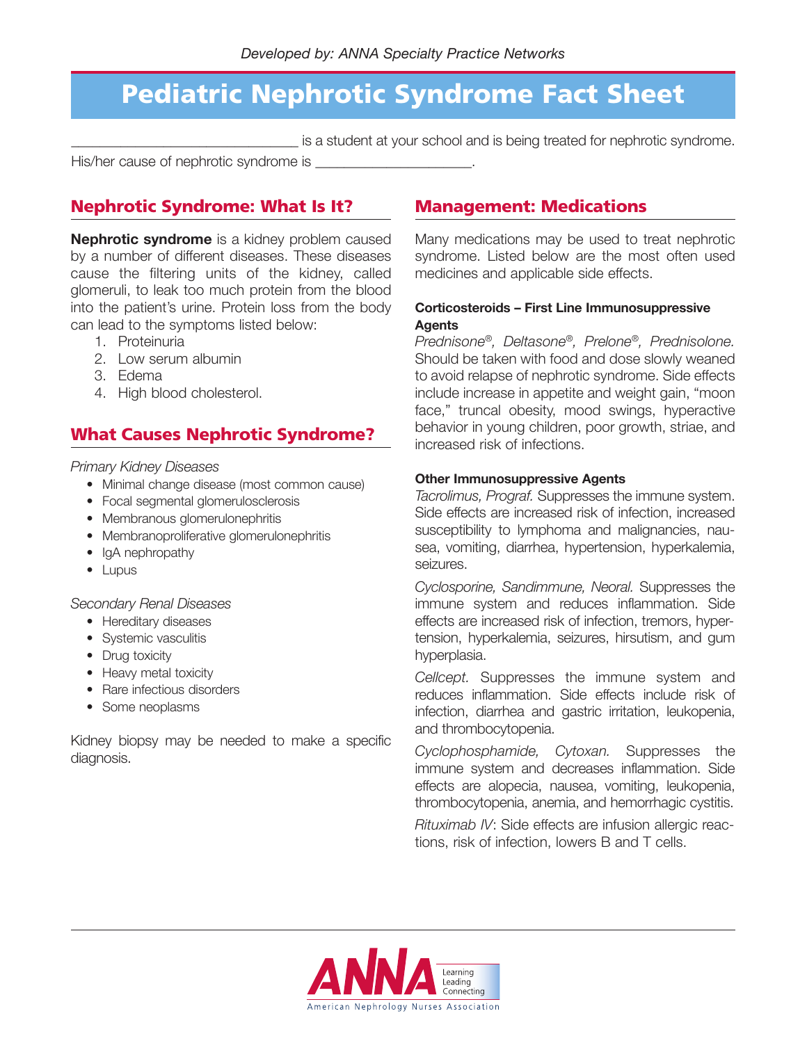## **Pediatric Nephrotic Syndrome Fact Sheet**

**\_\_\_\_\_\_\_\_\_\_\_\_\_\_\_\_\_\_\_\_\_\_\_\_\_\_\_\_\_\_\_\_** is a student at your school and is being treated for nephrotic syndrome.

His/her cause of nephrotic syndrome is \_\_\_\_\_\_\_\_\_\_\_\_\_\_\_\_\_\_\_\_\_\_.

## **Nephrotic Syndrome: What Is It?**

**Nephrotic syndrome** is a kidney problem caused by a number of different diseases. These diseases cause the filtering units of the kidney, called glomeruli, to leak too much protein from the blood into the patient's urine. Protein loss from the body can lead to the symptoms listed below:

- 1. Proteinuria
- 2. Low serum albumin
- 3. Edema
- 4. High blood cholesterol.

## **What Causes Nephrotic Syndrome?**

### *Primary Kidney Diseases*

- Minimal change disease (most common cause)
- Focal segmental glomerulosclerosis
- Membranous glomerulonephritis
- Membranoproliferative glomerulonephritis
- IgA nephropathy
- Lupus

### *Secondary Renal Diseases*

- Hereditary diseases
- Systemic vasculitis
- Drug toxicity
- Heavy metal toxicity
- Rare infectious disorders
- Some neoplasms

Kidney biopsy may be needed to make a specific diagnosis.

### **Management: Medications**

Many medications may be used to treat nephrotic syndrome. Listed below are the most often used medicines and applicable side effects.

### **Corticosteroids – First Line Immunosuppressive Agents**

*Prednisone®, Deltasone®, Prelone®, Prednisolone.* Should be taken with food and dose slowly weaned to avoid relapse of nephrotic syndrome. Side effects include increase in appetite and weight gain, "moon face," truncal obesity, mood swings, hyperactive behavior in young children, poor growth, striae, and increased risk of infections.

#### **Other Immunosuppressive Agents**

*Tacrolimus, Prograf.* Suppresses the immune system. Side effects are increased risk of infection, increased susceptibility to lymphoma and malignancies, nausea, vomiting, diarrhea, hypertension, hyperkalemia, seizures.

*Cyclosporine, Sandimmune, Neoral.* Suppresses the immune system and reduces inflammation. Side effects are increased risk of infection, tremors, hypertension, hyperkalemia, seizures, hirsutism, and gum hyperplasia.

*Cellcept.* Suppresses the immune system and reduces inflammation. Side effects include risk of infection, diarrhea and gastric irritation, leukopenia, and thrombocytopenia.

*Cyclophosphamide, Cytoxan.* Suppresses the immune system and decreases inflammation. Side effects are alopecia, nausea, vomiting, leukopenia, thrombocytopenia, anemia, and hemorrhagic cystitis.

*Rituximab IV*: Side effects are infusion allergic reactions, risk of infection, lowers B and T cells.